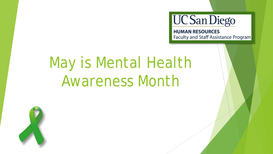

# May is Mental Health Awareness Month

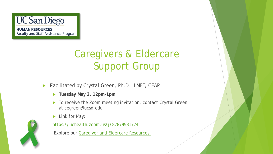

Faculty and Staff Assistance Program

## Caregivers & Eldercare Support Group

- **Facilitated by Crystal Green, Ph.D., LMFT, CEAP** 
	- **Tuesday May 3, 12pm-1pm**
	- ▶ To receive the Zoom meeting invitation, contact Crystal Green at cegreen@ucsd.edu
	- **Link for May:**



<https://uchealth.zoom.us/j/87879981774>

Explore our [Caregiver and Eldercare Resources](https://blink.ucsd.edu/HR/services/support/family/eldercare/index.html)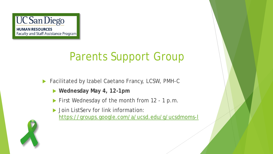

Faculty and Staff Assistance Program

# Parents Support Group

- ▶ Facilitated by Izabel Caetano Francy, LCSW, PMH-C
	- **Wednesday May 4, 12-1pm**
	- First Wednesday of the month from 12 1 p.m.
	- ▶ Join ListServ for link information: <https://groups.google.com/a/ucsd.edu/g/ucsdmoms-l>

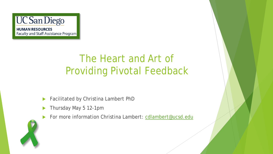

## The Heart and Art of Providing Pivotal Feedback

- **Facilitated by Christina Lambert PhD**
- Thursday May 5 12-1pm
- For more information Christina Lambert: [cdlambert@ucsd.edu](mailto:cdlambert@ucsd.edu)

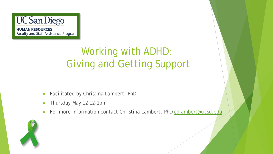

## Working with ADHD: Giving and Getting Support

- **Facilitated by Christina Lambert, PhD**
- Thursday May 12 12-1pm
- For more information contact Christina Lambert, PhD [cdlambert@ucsd.edu](mailto:cdlambert@ucsd.edu)

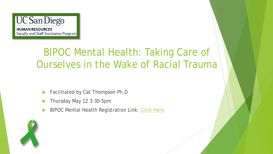

#### BIPOC Mental Health: Taking Care of Ourselves in the Wake of Racial Trauma

- Facilitated by Cat Thompson Ph.D
- Thursday May 12 3:30-5pm
- BIPOC Mental Health Registration Link: [Click Here](https://uchealth.zoom.us/meeting/register/tZUrc-CopzMuH9KMhmskhH6_pto8W9iSw0NB)

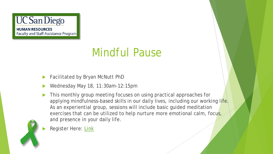

## Mindful Pause

- Facilitated by Bryan McNutt PhD
- Wednesday May 18, 11:30am-12:15pm
- This monthly group meeting focuses on using practical approaches for applying mindfulness-based skills in our daily lives, including our working life. As an experiential group, sessions will include basic guided meditation exercises that can be utilized to help nurture more emotional calm, focus, and presence in your daily life.



Register Here: [Link](https://uchealth.zoom.us/meeting/register/tZ0kcOCvrTouGtwjxCkbmWUZrq1tFaUzaOjw)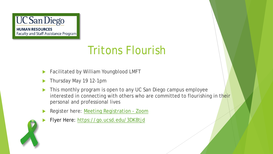

## Tritons Flourish

- Facilitated by William Youngblood LMFT
- Thursday May 19 12-1pm
- This monthly program is open to any UC San Diego campus employee interested in connecting with others who are committed to flourishing in their personal and professional lives
- Register here: [Meeting Registration -](https://uchealth.zoom.us/meeting/register/tZYuduyrrjIjHdDvflx5zcSiVSqR5Zp6uUwG) Zoom
- Flyer Here:<https://go.ucsd.edu/3DK8tjd>

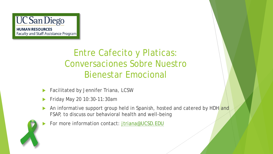

Entre Cafecito y Platicas: Conversaciones Sobre Nuestro Bienestar Emocional

- Facilitated by Jennifer Triana, LCSW
- Friday May 20 10:30-11:30am
- An informative support group held in Spanish, hosted and catered by HDH and FSAP, to discuss our behavioral health and well-being
- For more information contact: [jtriana@UCSD.EDU](mailto:jtriana@UCSD.EDU)

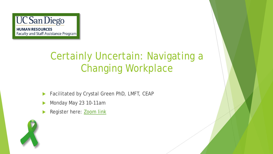

## Certainly Uncertain: Navigating a Changing Workplace

- **Facilitated by Crystal Green PhD, LMFT, CEAP**
- Monday May 23 10-11am
- Register here: [Zoom link](https://uchealth.zoom.us/meeting/register/tZwsfuuvpjgqGdQHuOCst9HzkU-EFQT3hYCS)

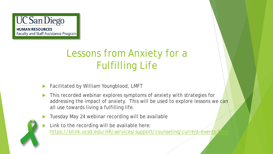

## Lessons from Anxiety for a Fulfilling Life

- Facilitated by William Youngblood, LMFT
- This recorded webinar explores symptoms of anxiety with strategies for addressing the impact of anxiety. This will be used to explore lessons we can all use towards living a fulfilling life.
- Tuesday May 24 webinar recording will be available
- Link to the recording will be available here: https://blink.ucsd.edu/HR/services/support/counseling/current-events.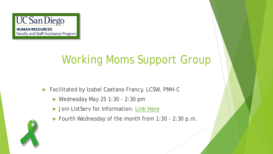

## Working Moms Support Group

- ▶ Facilitated by Izabel Caetano Francy, LCSW, PMH-C
	- $\blacktriangleright$  Wednesday May 25 1:30 2:30 pm
	- Duin ListServ for Information: [Link Here](https://groups.google.com/a/ucsd.edu/g/ucsdmoms-l)
	- ▶ Fourth Wednesday of the month from 1:30 2:30 p.m.

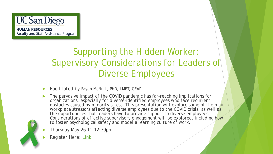

#### Supporting the Hidden Worker: Supervisory Considerations for Leaders of Diverse Employees

- Facilitated by Bryan McNutt, PhD, LMFT, CEAP
- *The pervasive impact of the COVID pandemic has far-reaching implications for organizations, especially for diverse-identified employees who face recurrent obstacles caused by minority stress. This presentation will explore some of the main workplace stressors affecting diverse employees due to the COVID crisis, as well as the opportunities that leaders have to provide support to diverse employees. Considerations of effective supervisory engagement will be explored, including how to foster psychological safety and model a learning culture of work.* 
	- Thursday May 26 11-12:30pm
	- Register Here: [Link](https://uchealth.zoom.us/meeting/register/tZUlc-uuqD4pGNDk8Tz22kwjbfLgSjhw2SCj)